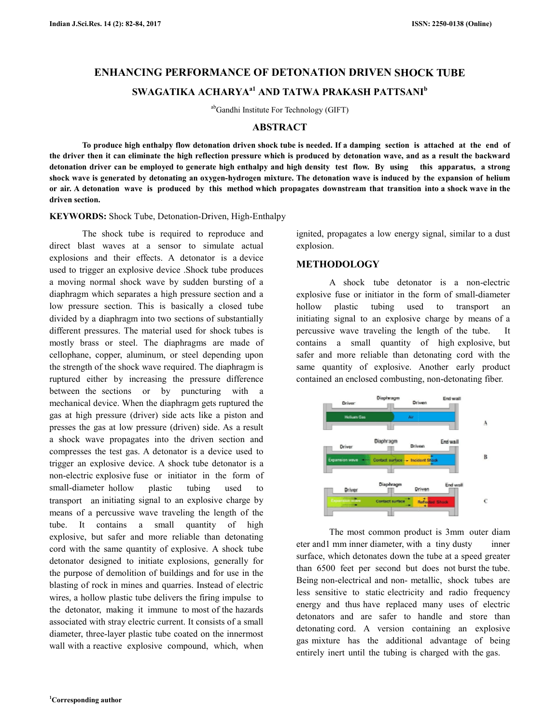# **ENHANCING PERFORMANCE OF DETONATION DRIVEN SHOCK TUBE SWAGATIKA ACH ACHARYAa1 AND TATWA PRAKASH PATTSANI NI<sup>b</sup>**

<sup>ab</sup>Gandhi Institute For Technology (GIFT)

#### **ABSTRACT**

To produce high enthalpy flow detonation driven shock tube is needed. If a damping section is attached at the end of the driver then it can eliminate the high reflection pressure which is produced by detonation wave, and as a result the backward detonation driver can be employed to generate high enthalpy and high density test flow. By using this apparatus, a strong shock wave is generated by detonating an oxygen-hydrogen mixture. The detonation wave is induced by the expansion of helium or air. A detonation wave is produced by this method which propagates downstream that transition into a shock wave in the **driven section.** 

KEYWORDS: Shock Tube, Detonation-Driven, High-Enthalpy

The shock tube is required to reproduce and direct blast waves at a sensor to simulate actual explosions and their effects. A detonator is a device used to trigger an explosive device .Shock Shock tube produces a moving normal shock wave by sudden bursting of a diaphragm which separates a high pressure section and a low pressure section. This is basically a closed tube divided by a diaphragm into two sections of substantially different pressures. The material used for shock tubes is mostly brass or steel. The diaphragms are made of cellophane, copper, aluminum, or steel depending upon the strength of the shock wave required. Th he diaphragm is ruptured either by increasing the pressure d difference between the sections or by puncturing with a mechanical device. When the diaphragm gets ruptured the gas at high pressure (driver) side acts like a piston and presses the gas at low pressure (driven) side. As a result a shock wave propagates into the driven section and compresses the test gas. A detonator is a device used to trigger an explosive device. A shock tube detonator is a non-electric explosive fuse or initiator in the form of small-diameter hollow plastic tubing transport an initiating signal to an explosive charge by means of a percussive wave traveling the length of the tube. It contains a small explosive, but safer and more reliable than de han detonating cord with the same quantity of explosive. A shock tube detonator designed to initiate explosions, generally for the purpose of demolition of buildings and for use in the blasting of rock in mines and quarries. Instead of electric wires, a hollow plastic tube delivers the firing impulse to the detonator, making it immune to most of the hazards associated with stray electric current. It consists of a small diameter, three-layer plastic tube coated on the innermost wall with a reactive explosive compound, which, when used to quantity of high

ignited, propagates a low energy signal, similar to a dust explosion.

## **METHODOLOGY**

A shock tube detonator is a non-electric explosive fuse or initiator in the form of small-diameter hollow plastic tubing used initiating signal to an explosive e charge by means of a percussive wave traveling the l length of the tube. It contains a small quantity of high-explosive, but safer and more reliable than detonating cord with the same quantity of explosive. Another early product contained an enclosed combusting, non-detonating fiber. to transport an



The most common product is 3mm outer diam eter and 1 mm inner diameter, with a tiny dusty inner surface, which detonates down the tube at a speed greater than 6500 feet per second but does not burst the tube. Being non-electrical and non- metallic, shock tubes are less sensitive to static electricity and radio frequency energy and thus have replaced many uses of electric detonators and are safer to handle and store than detonating cord. A version con containing an explosive gas mixture has the additional advantage of being entirely inert until the tubing is charged with the gas.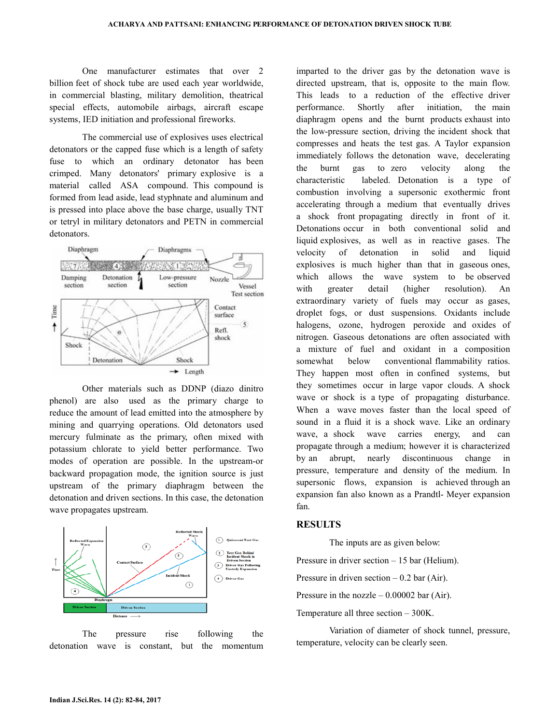One manufacturer estimates that over 2 billion feet of shock tube are used each year worldwide, in commercial blasting, military demolition, theatrical special effects, automobile airbags, aircraft escape systems, IED initiation and professional fireworks.

 The commercial use of explosives uses electrical detonators or the capped fuse which is a length of safety fuse to which an ordinary detonator has been crimped. Many detonators' primary explosive is a material called ASA compound. This compound is formed from lead aside, lead styphnate and aluminum and is pressed into place above the base charge, usually TNT or tetryl in military detonators and PETN in commercial detonators.



Other materials such as DDNP (diazo dinitro phenol) are also used as the primary charge to reduce the amount of lead emitted into the atmosphere by mining and quarrying operations. Old de detonators used mercury fulminate as the primary, often mixed with potassium chlorate to yield better perfo performance. Two modes of operation are possible. In the upstream-or backward propagation mode, the ignition source is just upstream of the primary diaphragm between the detonation and driven sections. In this case, the detonation wave propagates upstream.



The pressure rise detonation wave is constant, but the he momentum following the

imparted to the driver gas by the detonation wave is directed upstream, that is, opposite to the main flow. This leads to a reduction of the effective driver performance. Shortly diaphragm opens and the burnt products exhaust into the low-pressure section, driving the incident shock that compresses and heats the test gas. A Taylor expansion immediately follows the detonation wave, decelerating the burnt gas to zero characteristic labeled. Detonation is a type of combustion involving a supersonic exothermic front accelerating through a medium that eventually drives a shock front propagating directly in front of it. Detonations occur in both conventional solid and liquid explosives, as well as in reactive gases. The velocity of detonation in explosives is much higher than that in gaseous ones, which allows the wave system to be observed with greater detail (higher extraordinary variety of fuels may occur as gases, droplet fogs, or dust suspensions. Oxidants include halogens, ozone, hydrogen peroxide and oxides of nitrogen. Gaseous detonations are often associated with a mixture of fuel and oxidant in a composition somewhat below conventional flammability ratios. They happen most often in confined systems, but they sometimes occur in large vapor clouds. A shock wave or shock is a type of propagating disturbance. When a wave moves faster than the local speed of sound in a fluid it is a shock wave. Like an ordinary wave, a shock wave carries energy, and can propagate through a medium; however it is characterized by an abrupt, nearly pressure, temperature and density of the medium. In supersonic flows, expansion is achieved through an expansion fan also known as a Prandtl- Meyer expansion fan. after initiation, the main velocity along the solid and liquid resolution). An discontinuous change in

## **RESULTS**

The inputs are as given below:

Pressure in driver section – 15 bar (Helium).

Pressure in driven section  $-0.2$  bar (Air).

Pressure in the nozzle  $-0.00002$  bar (Air).

Temperature all three section – 300K.

 Variation of diameter of shock tunnel, pressure, temperature, velocity can be clearly seen.